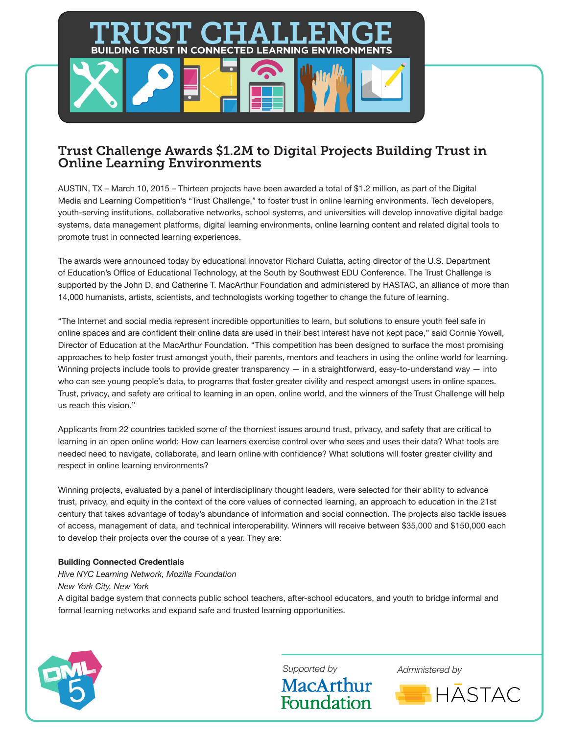## Trust Challenge Awards \$1.2M to Digital Projects Building Trust in Online Learning Environments

Д

**BUILDING TRUST IN CONNECTED LEARNING ENVIRONMENTS** 

AUSTIN, TX – March 10, 2015 – Thirteen projects have been awarded a total of \$1.2 million, as part of the Digital Media and Learning Competition's "Trust Challenge," to foster trust in online learning environments. Tech developers, youth-serving institutions, collaborative networks, school systems, and universities will develop innovative digital badge systems, data management platforms, digital learning environments, online learning content and related digital tools to promote trust in connected learning experiences.

The awards were announced today by educational innovator Richard Culatta, acting director of the U.S. Department of Education's Office of Educational Technology, at the South by Southwest EDU Conference. The Trust Challenge is supported by the John D. and Catherine T. MacArthur Foundation and administered by HASTAC, an alliance of more than 14,000 humanists, artists, scientists, and technologists working together to change the future of learning.

"The Internet and social media represent incredible opportunities to learn, but solutions to ensure youth feel safe in online spaces and are confident their online data are used in their best interest have not kept pace," said Connie Yowell, Director of Education at the MacArthur Foundation. "This competition has been designed to surface the most promising approaches to help foster trust amongst youth, their parents, mentors and teachers in using the online world for learning. Winning projects include tools to provide greater transparency  $-$  in a straightforward, easy-to-understand way  $-$  into who can see young people's data, to programs that foster greater civility and respect amongst users in online spaces. Trust, privacy, and safety are critical to learning in an open, online world, and the winners of the Trust Challenge will help us reach this vision."

Applicants from 22 countries tackled some of the thorniest issues around trust, privacy, and safety that are critical to learning in an open online world: How can learners exercise control over who sees and uses their data? What tools are needed need to navigate, collaborate, and learn online with confidence? What solutions will foster greater civility and respect in online learning environments?

Winning projects, evaluated by a panel of interdisciplinary thought leaders, were selected for their ability to advance trust, privacy, and equity in the context of the core values of connected learning, an approach to education in the 21st century that takes advantage of today's abundance of information and social connection. The projects also tackle issues of access, management of data, and technical interoperability. Winners will receive between \$35,000 and \$150,000 each to develop their projects over the course of a year. They are:

#### **Building Connected Credentials**

*Hive NYC Learning Network, Mozilla Foundation New York City, New York* A digital badge system that connects public school teachers, after-school educators, and youth to bridge informal and formal learning networks and expand safe and trusted learning opportunities.



**MacArthur** 

Foundation

*Supported by Administered by*

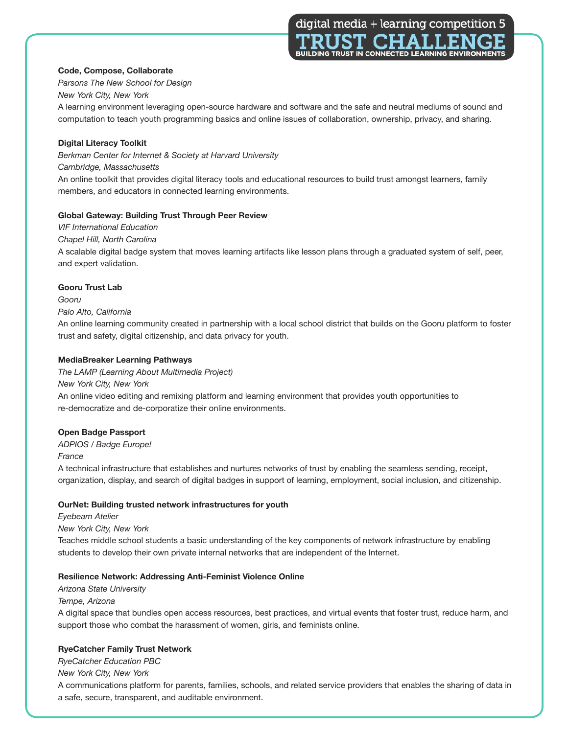digital media + learning competition 5 I I A F **BUILDING TRUST IN CONNECTED LEARNING ENVIRONMENTS** 

**Code, Compose, Collaborate** *Parsons The New School for Design*

#### *New York City, New York*

A learning environment leveraging open-source hardware and software and the safe and neutral mediums of sound and computation to teach youth programming basics and online issues of collaboration, ownership, privacy, and sharing.

#### **Digital Literacy Toolkit**

*Berkman Center for Internet & Society at Harvard University*

#### *Cambridge, Massachusetts*

An online toolkit that provides digital literacy tools and educational resources to build trust amongst learners, family members, and educators in connected learning environments.

#### **Global Gateway: Building Trust Through Peer Review**

*VIF International Education*

*Chapel Hill, North Carolina*

A scalable digital badge system that moves learning artifacts like lesson plans through a graduated system of self, peer, and expert validation.

#### **Gooru Trust Lab**

*Gooru* 

#### *Palo Alto, California*

An online learning community created in partnership with a local school district that builds on the Gooru platform to foster trust and safety, digital citizenship, and data privacy for youth.

#### **MediaBreaker Learning Pathways**

*The LAMP (Learning About Multimedia Project)* 

*New York City, New York*

An online video editing and remixing platform and learning environment that provides youth opportunities to re-democratize and de-corporatize their online environments.

### **Open Badge Passport**

*ADPIOS / Badge Europe!*

*France*

A technical infrastructure that establishes and nurtures networks of trust by enabling the seamless sending, receipt, organization, display, and search of digital badges in support of learning, employment, social inclusion, and citizenship.

#### **OurNet: Building trusted network infrastructures for youth**

*Eyebeam Atelier*

*New York City, New York*

Teaches middle school students a basic understanding of the key components of network infrastructure by enabling students to develop their own private internal networks that are independent of the Internet.

#### **Resilience Network: Addressing Anti-Feminist Violence Online**

*Arizona State University Tempe, Arizona* A digital space that bundles open access resources, best practices, and virtual events that foster trust, reduce harm, and support those who combat the harassment of women, girls, and feminists online.

### **RyeCatcher Family Trust Network**

*RyeCatcher Education PBC*

*New York City, New York*

A communications platform for parents, families, schools, and related service providers that enables the sharing of data in a safe, secure, transparent, and auditable environment.